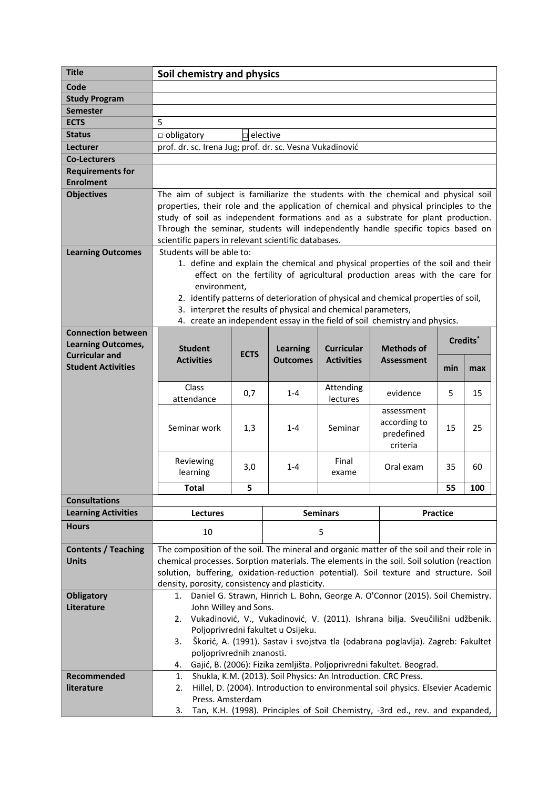| <b>Title</b>               | Soil chemistry and physics                                                                                                                                     |                                                     |                 |                   |                                                                               |     |            |
|----------------------------|----------------------------------------------------------------------------------------------------------------------------------------------------------------|-----------------------------------------------------|-----------------|-------------------|-------------------------------------------------------------------------------|-----|------------|
| Code                       |                                                                                                                                                                |                                                     |                 |                   |                                                                               |     |            |
| <b>Study Program</b>       |                                                                                                                                                                |                                                     |                 |                   |                                                                               |     |            |
| <b>Semester</b>            |                                                                                                                                                                |                                                     |                 |                   |                                                                               |     |            |
| <b>ECTS</b>                | 5                                                                                                                                                              |                                                     |                 |                   |                                                                               |     |            |
| <b>Status</b>              | elective<br>$\Box$ obligatory<br>п                                                                                                                             |                                                     |                 |                   |                                                                               |     |            |
| Lecturer                   | prof. dr. sc. Irena Jug; prof. dr. sc. Vesna Vukadinović                                                                                                       |                                                     |                 |                   |                                                                               |     |            |
| <b>Co-Lecturers</b>        |                                                                                                                                                                |                                                     |                 |                   |                                                                               |     |            |
| <b>Requirements for</b>    |                                                                                                                                                                |                                                     |                 |                   |                                                                               |     |            |
| <b>Enrolment</b>           |                                                                                                                                                                |                                                     |                 |                   |                                                                               |     |            |
| <b>Objectives</b>          | The aim of subject is familiarize the students with the chemical and physical soil                                                                             |                                                     |                 |                   |                                                                               |     |            |
|                            | properties, their role and the application of chemical and physical principles to the                                                                          |                                                     |                 |                   |                                                                               |     |            |
|                            | study of soil as independent formations and as a substrate for plant production.                                                                               |                                                     |                 |                   |                                                                               |     |            |
|                            | Through the seminar, students will independently handle specific topics based on                                                                               |                                                     |                 |                   |                                                                               |     |            |
|                            | scientific papers in relevant scientific databases.<br>Students will be able to:                                                                               |                                                     |                 |                   |                                                                               |     |            |
| <b>Learning Outcomes</b>   |                                                                                                                                                                |                                                     |                 |                   |                                                                               |     |            |
|                            | 1. define and explain the chemical and physical properties of the soil and their<br>effect on the fertility of agricultural production areas with the care for |                                                     |                 |                   |                                                                               |     |            |
|                            | environment,                                                                                                                                                   |                                                     |                 |                   |                                                                               |     |            |
|                            | 2. identify patterns of deterioration of physical and chemical properties of soil,                                                                             |                                                     |                 |                   |                                                                               |     |            |
|                            | 3. interpret the results of physical and chemical parameters,                                                                                                  |                                                     |                 |                   |                                                                               |     |            |
|                            | 4. create an independent essay in the field of soil chemistry and physics.                                                                                     |                                                     |                 |                   |                                                                               |     |            |
| <b>Connection between</b>  |                                                                                                                                                                |                                                     |                 |                   |                                                                               |     |            |
| <b>Learning Outcomes,</b>  | Credits <sup>*</sup><br><b>Student</b><br><b>Learning</b><br><b>Curricular</b><br><b>Methods of</b>                                                            |                                                     |                 |                   |                                                                               |     |            |
| <b>Curricular and</b>      | <b>Activities</b>                                                                                                                                              | <b>ECTS</b><br><b>Outcomes</b><br><b>Activities</b> |                 | <b>Assessment</b> |                                                                               |     |            |
| <b>Student Activities</b>  |                                                                                                                                                                |                                                     |                 |                   |                                                                               | min | max        |
|                            | Class                                                                                                                                                          |                                                     |                 | Attending         |                                                                               |     |            |
|                            | attendance                                                                                                                                                     | 0,7                                                 | $1 - 4$         | lectures          | evidence                                                                      | 5   | 15         |
|                            |                                                                                                                                                                |                                                     |                 |                   | assessment                                                                    |     |            |
|                            | Seminar work                                                                                                                                                   |                                                     | $1 - 4$         | Seminar           | according to                                                                  | 15  | 25         |
|                            |                                                                                                                                                                | 1,3                                                 |                 |                   | predefined                                                                    |     |            |
|                            |                                                                                                                                                                |                                                     |                 |                   | criteria                                                                      |     |            |
|                            | Reviewing                                                                                                                                                      |                                                     |                 | Final             |                                                                               |     |            |
|                            | learning                                                                                                                                                       | 3,0                                                 | $1 - 4$         | exame             | Oral exam                                                                     | 35  | 60         |
|                            | Total                                                                                                                                                          | 5                                                   |                 |                   |                                                                               | 55  | <b>100</b> |
| <b>Consultations</b>       |                                                                                                                                                                |                                                     |                 |                   |                                                                               |     |            |
| <b>Learning Activities</b> | <b>Lectures</b>                                                                                                                                                |                                                     | <b>Seminars</b> |                   | <b>Practice</b>                                                               |     |            |
| <b>Hours</b>               |                                                                                                                                                                |                                                     |                 |                   |                                                                               |     |            |
|                            | 10                                                                                                                                                             |                                                     |                 | 5                 |                                                                               |     |            |
| <b>Contents / Teaching</b> | The composition of the soil. The mineral and organic matter of the soil and their role in                                                                      |                                                     |                 |                   |                                                                               |     |            |
| <b>Units</b>               | chemical processes. Sorption materials. The elements in the soil. Soil solution (reaction                                                                      |                                                     |                 |                   |                                                                               |     |            |
|                            | solution, buffering, oxidation-reduction potential). Soil texture and structure. Soil                                                                          |                                                     |                 |                   |                                                                               |     |            |
|                            | density, porosity, consistency and plasticity.                                                                                                                 |                                                     |                 |                   |                                                                               |     |            |
| <b>Obligatory</b>          | Daniel G. Strawn, Hinrich L. Bohn, George A. O'Connor (2015). Soil Chemistry.<br>1.                                                                            |                                                     |                 |                   |                                                                               |     |            |
| Literature                 | John Willey and Sons.                                                                                                                                          |                                                     |                 |                   |                                                                               |     |            |
|                            | 2.                                                                                                                                                             |                                                     |                 |                   | Vukadinović, V., Vukadinović, V. (2011). Ishrana bilja. Sveučilišni udžbenik. |     |            |
|                            | Poljoprivredni fakultet u Osijeku.                                                                                                                             |                                                     |                 |                   |                                                                               |     |            |
|                            | Škorić, A. (1991). Sastav i svojstva tla (odabrana poglavlja). Zagreb: Fakultet<br>3.<br>poljoprivrednih znanosti.                                             |                                                     |                 |                   |                                                                               |     |            |
|                            | Gajić, B. (2006): Fizika zemljišta. Poljoprivredni fakultet. Beograd.<br>4.                                                                                    |                                                     |                 |                   |                                                                               |     |            |
| Recommended                | Shukla, K.M. (2013). Soil Physics: An Introduction. CRC Press.<br>1.                                                                                           |                                                     |                 |                   |                                                                               |     |            |
| literature                 | Hillel, D. (2004). Introduction to environmental soil physics. Elsevier Academic<br>2.                                                                         |                                                     |                 |                   |                                                                               |     |            |
|                            | Press. Amsterdam                                                                                                                                               |                                                     |                 |                   |                                                                               |     |            |
|                            | Tan, K.H. (1998). Principles of Soil Chemistry, -3rd ed., rev. and expanded,<br>3.                                                                             |                                                     |                 |                   |                                                                               |     |            |